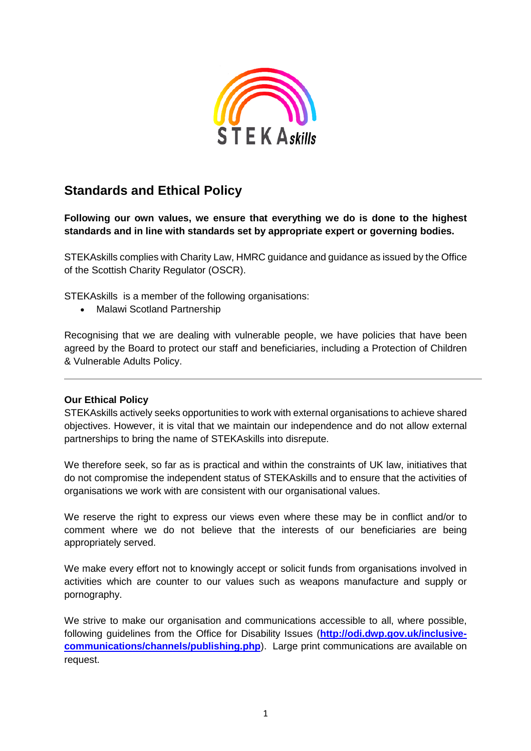

## **Standards and Ethical Policy**

**Following our own values, we ensure that everything we do is done to the highest standards and in line with standards set by appropriate expert or governing bodies.**

STEKAskills complies with Charity Law, HMRC guidance and guidance as issued by the [Office](http://www.oscr.org.uk/) of the Scottish Charity [Regulator](http://www.oscr.org.uk/) (OSCR).

STEKAskills is a member of the following organisations:

• Malawi Scotland Partnership

Recognising that we are dealing with vulnerable people, we have policies that have been agreed by the Board to protect our staff and beneficiaries, including a Protection of Children & Vulnerable Adults Policy.

## **Our Ethical Policy**

STEKAskills actively seeks opportunities to work with external organisations to achieve shared objectives. However, it is vital that we maintain our independence and do not allow external partnerships to bring the name of STEKAskills into disrepute.

We therefore seek, so far as is practical and within the constraints of UK law, initiatives that do not compromise the independent status of STEKAskills and to ensure that the activities of organisations we work with are consistent with our organisational values.

We reserve the right to express our views even where these may be in conflict and/or to comment where we do not believe that the interests of our beneficiaries are being appropriately served.

We make every effort not to knowingly accept or solicit funds from organisations involved in activities which are counter to our values such as weapons manufacture and supply or pornography.

We strive to make our organisation and communications accessible to all, where possible, following guidelines from the Office for Disability Issues (**[http://odi.dwp.gov.uk/inclusive](http://odi.dwp.gov.uk/inclusive-communications/channels/publishing.php)[communications/channels/publishing.php](http://odi.dwp.gov.uk/inclusive-communications/channels/publishing.php)**). Large print communications are available on request.